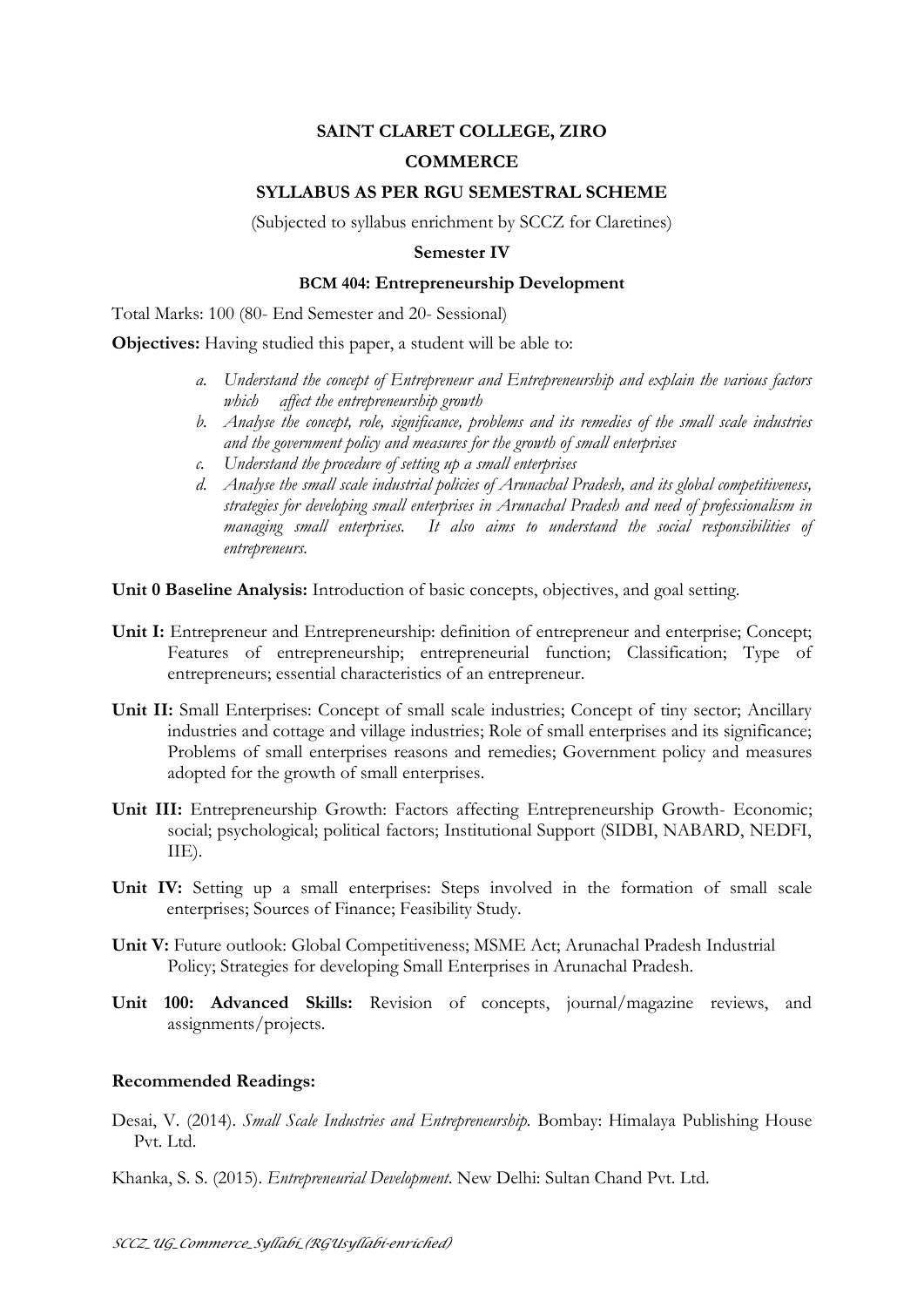# **SAINT CLARET COLLEGE, ZIRO**

## **COMMERCE**

### **SYLLABUS AS PER RGU SEMESTRAL SCHEME**

(Subjected to syllabus enrichment by SCCZ for Claretines)

### **Semester IV**

### **BCM 404: Entrepreneurship Development**

Total Marks: 100 (80- End Semester and 20- Sessional)

**Objectives:** Having studied this paper, a student will be able to:

- *a. Understand the concept of Entrepreneur and Entrepreneurship and explain the various factors which affect the entrepreneurship growth*
- *b. Analyse the concept, role, significance, problems and its remedies of the small scale industries and the government policy and measures for the growth of small enterprises*
- *c. Understand the procedure of setting up a small enterprises*
- *d. Analyse the small scale industrial policies of Arunachal Pradesh, and its global competitiveness, strategies for developing small enterprises in Arunachal Pradesh and need of professionalism in managing small enterprises. It also aims to understand the social responsibilities of entrepreneurs.*

**Unit 0 Baseline Analysis:** Introduction of basic concepts, objectives, and goal setting.

- **Unit I:** Entrepreneur and Entrepreneurship: definition of entrepreneur and enterprise; Concept; Features of entrepreneurship; entrepreneurial function; Classification; Type of entrepreneurs; essential characteristics of an entrepreneur.
- **Unit II:** Small Enterprises: Concept of small scale industries; Concept of tiny sector; Ancillary industries and cottage and village industries; Role of small enterprises and its significance; Problems of small enterprises reasons and remedies; Government policy and measures adopted for the growth of small enterprises.
- **Unit III:** Entrepreneurship Growth: Factors affecting Entrepreneurship Growth- Economic; social; psychological; political factors; Institutional Support (SIDBI, NABARD, NEDFI, IIE).
- **Unit IV:** Setting up a small enterprises: Steps involved in the formation of small scale enterprises; Sources of Finance; Feasibility Study.
- **Unit V:** Future outlook: Global Competitiveness; MSME Act; Arunachal Pradesh Industrial Policy; Strategies for developing Small Enterprises in Arunachal Pradesh.
- **Unit 100: Advanced Skills:** Revision of concepts, journal/magazine reviews, and assignments/projects.

#### **Recommended Readings:**

Desai, V. (2014). *Small Scale Industries and Entrepreneurship.* Bombay: Himalaya Publishing House Pvt. Ltd.

Khanka, S. S. (2015). *Entrepreneurial Development*. New Delhi: Sultan Chand Pvt. Ltd.